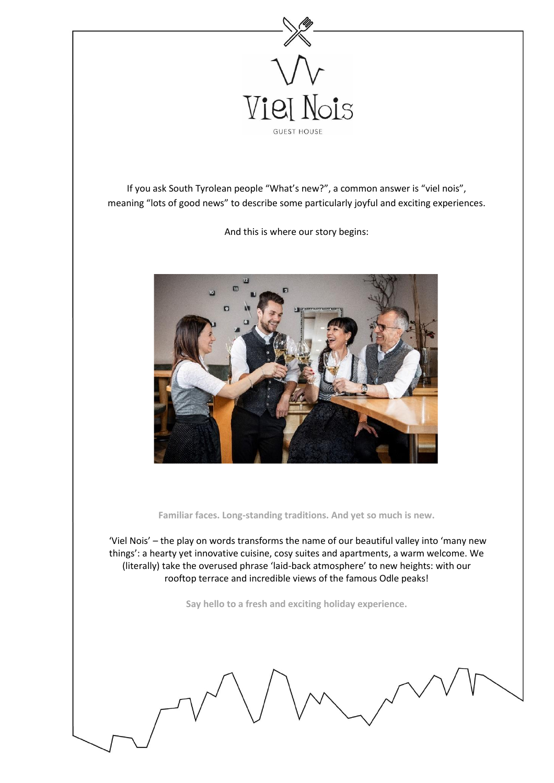

If you ask South Tyrolean people "What's new?", a common answer is "viel nois", meaning "lots of good news" to describe some particularly joyful and exciting experiences.

And this is where our story begins:



**Familiar faces. Long-standing traditions. And yet so much is new.**

'Viel Nois' – the play on words transforms the name of our beautiful valley into 'many new things': a hearty yet innovative cuisine, cosy suites and apartments, a warm welcome. We (literally) take the overused phrase 'laid-back atmosphere' to new heights: with our rooftop terrace and incredible views of the famous Odle peaks!

**Say hello to a fresh and exciting holiday experience.**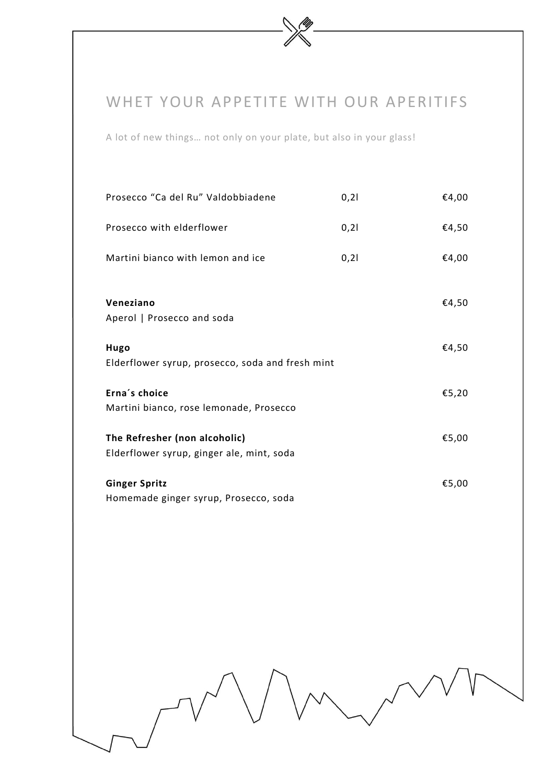## WHET YOUR APPETITE WITH OUR APERITIFS

A lot of new things… not only on your plate, but also in your glass!

| Prosecco "Ca del Ru" Valdobbiadene                                         | 0,21 | €4,00 |
|----------------------------------------------------------------------------|------|-------|
| Prosecco with elderflower                                                  | 0,21 | €4,50 |
| Martini bianco with lemon and ice                                          | 0,21 | €4,00 |
| Veneziano<br>Aperol   Prosecco and soda                                    |      | €4,50 |
| Hugo<br>Elderflower syrup, prosecco, soda and fresh mint                   |      | €4,50 |
| Erna's choice<br>Martini bianco, rose lemonade, Prosecco                   |      | €5,20 |
| The Refresher (non alcoholic)<br>Elderflower syrup, ginger ale, mint, soda |      | €5,00 |
| <b>Ginger Spritz</b><br>Homemade ginger syrup, Prosecco, soda              |      | €5,00 |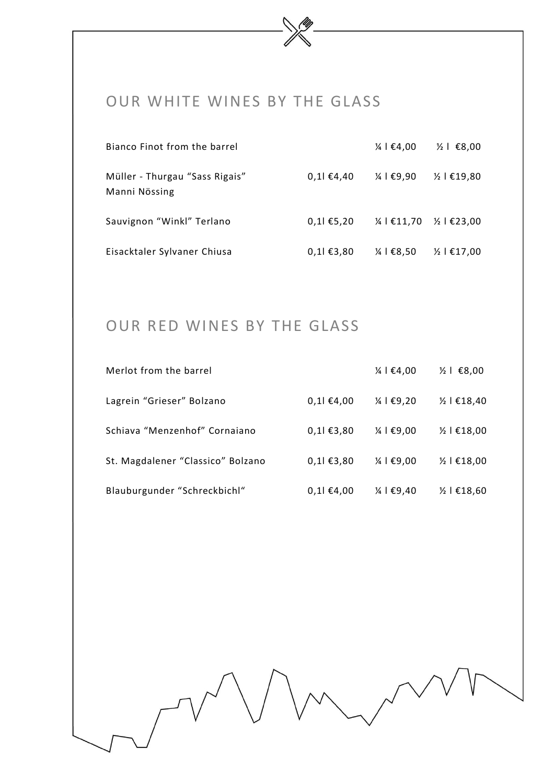## OUR WHITE WINES BY THE GLASS

| Bianco Finot from the barrel                    |           | $\frac{1}{4}$   €4,00                         | $\frac{1}{2}$   €8,00  |
|-------------------------------------------------|-----------|-----------------------------------------------|------------------------|
| Müller - Thurgau "Sass Rigais"<br>Manni Nössing | 0,11€4,40 | $\frac{1}{4}$   €9,90                         | $\frac{1}{2}$   €19,80 |
| Sauvignon "Winkl" Terlano                       | 0,11€5,20 | $\frac{1}{4}$   €11,70 $\frac{1}{2}$   €23,00 |                        |
| Eisacktaler Sylvaner Chiusa                     | 0,11€3,80 | $\frac{1}{4}$   €8,50                         | $\frac{1}{2}$   €17,00 |

# OUR RED WINES BY THE GLASS

| Merlot from the barrel            |           | $\frac{1}{4}$   €4,00 | $\frac{1}{2}$   €8,00  |
|-----------------------------------|-----------|-----------------------|------------------------|
| Lagrein "Grieser" Bolzano         | 0,11€4,00 | $\frac{1}{4}$   €9,20 | $\frac{1}{2}$   €18,40 |
| Schiava "Menzenhof" Cornaiano     | 0,11€3,80 | $\frac{1}{4}$   €9,00 | $\frac{1}{2}$   €18,00 |
| St. Magdalener "Classico" Bolzano | 0,11€3,80 | $\frac{1}{4}$   €9,00 | $\frac{1}{2}$   €18,00 |
| Blauburgunder "Schreckbichl"      | 0,11€4,00 | $\frac{1}{4}$   €9,40 | $\frac{1}{2}$   €18,60 |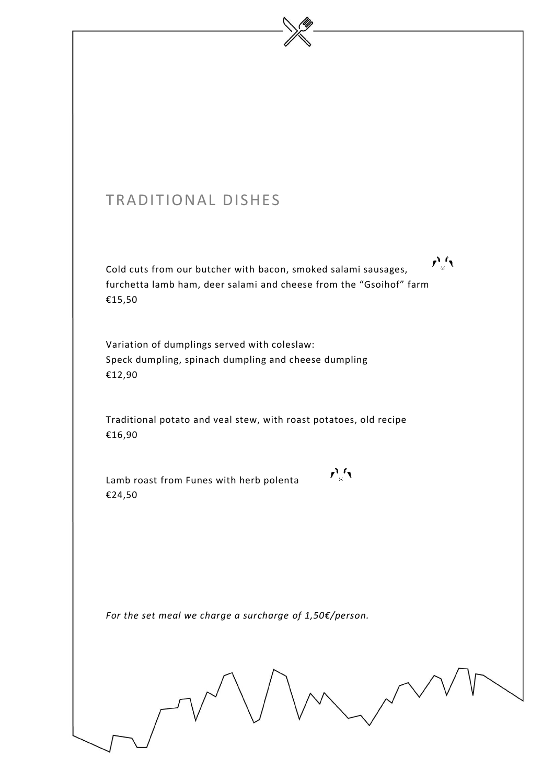# TRADITIONAL DISHES  $\mathbf{r}^{\prime}$ Cold cuts from our butcher with bacon, smoked salami sausages, furchetta lamb ham, deer salami and cheese from the "Gsoihof" farm €15,50 Variation of dumplings served with coleslaw: Speck dumpling, spinach dumpling and cheese dumpling €12,90 Traditional potato and veal stew, with roast potatoes, old recipe €16,90  $\mathcal{L}_{\mathcal{A}}^{\mathcal{A}}$ Lamb roast from Funes with herb polenta €24,50

*For the set meal we charge a surcharge of 1,50€/person.*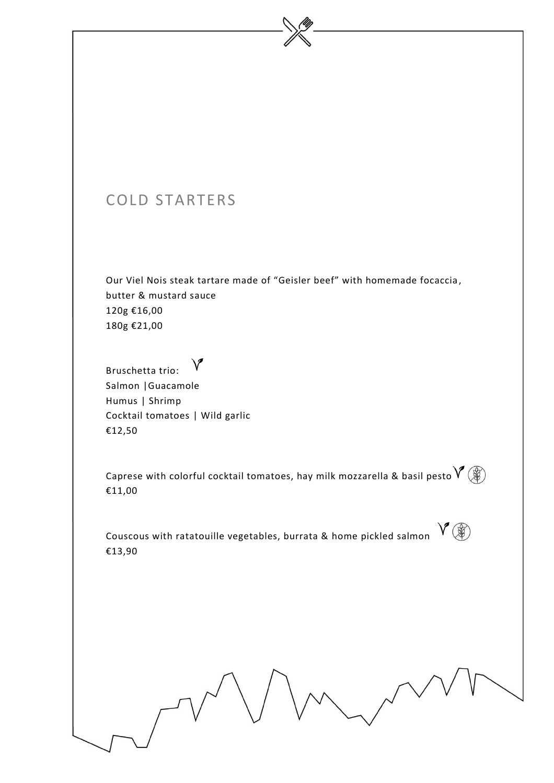## COLD STARTERS

Our Viel Nois steak tartare made of "Geisler beef" with homemade focaccia , butter & mustard sauce 120g €16,00 180g €21,00

#### $\vee$ Bruschetta trio: Salmon |Guacamole Humus | Shrimp Cocktail tomatoes | Wild garlic €12,50

Caprese with colorful cocktail tomatoes, hay milk mozzarella & basil pesto  $\mathsf{V}\left(\mathscr{F}\right)$ €11,00

Couscous with ratatouille vegetables, burrata & home pickled salmon  $\sqrt{\mathscr{L}}(\mathscr{D})$ €13,90

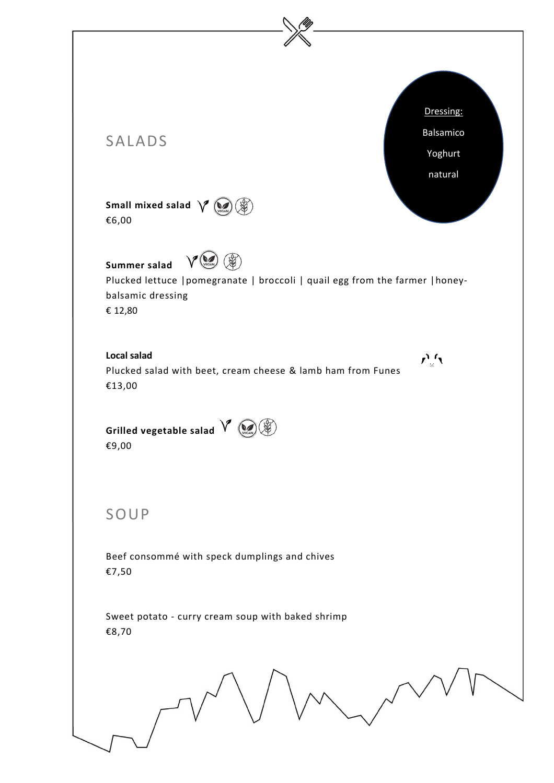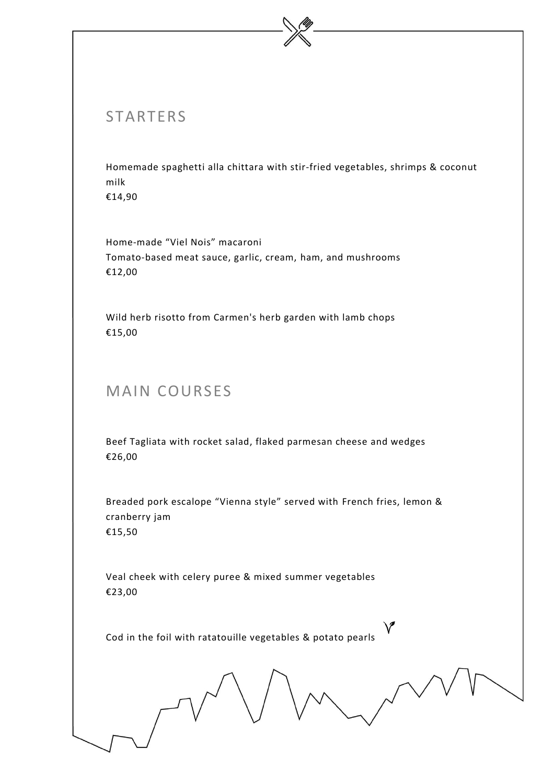## **STARTERS**

Homemade spaghetti alla chittara with stir-fried vegetables, shrimps & coconut milk

€14,90

Home-made "Viel Nois" macaroni Tomato-based meat sauce, garlic, cream, ham, and mushrooms €12,00

Wild herb risotto from Carmen's herb garden with lamb chops €15,00

## MAIN COURSES

Beef Tagliata with rocket salad, flaked parmesan cheese and wedges €26,00

Breaded pork escalope "Vienna style" served with French fries, lemon & cranberry jam €15,50

Veal cheek with celery puree & mixed summer vegetables €23,00

Cod in the foil with ratatouille vegetables & potato pearls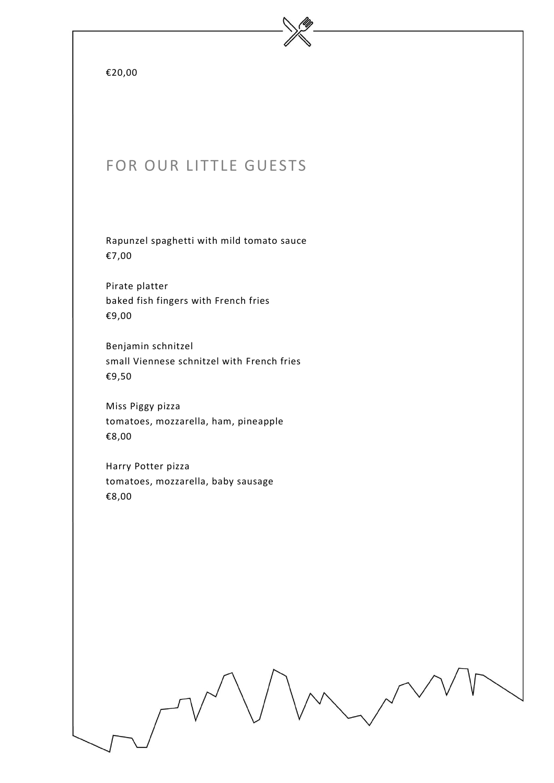|  | 0. | 00 |
|--|----|----|
|--|----|----|

## FOR OUR LITTLE GUESTS

Rapunzel spaghetti with mild tomato sauce €7,00

Pirate platter baked fish fingers with French fries €9,00

Benjamin schnitzel small Viennese schnitzel with French fries €9,50

Miss Piggy pizza tomatoes, mozzarella, ham, pineapple €8,00

Harry Potter pizza tomatoes, mozzarella, baby sausage €8,00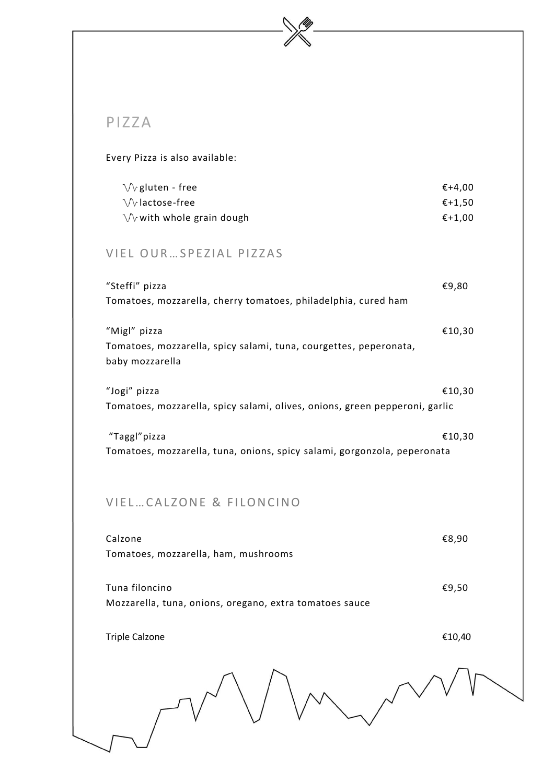#### PIZZA

#### Every Pizza is also available:

| $\sqrt{2}$ gluten - free          | €+4.00           |
|-----------------------------------|------------------|
| $\sqrt{v}$ lactose-free           | $\epsilon$ +1.50 |
| $\sqrt{x}$ with whole grain dough | €+1.00           |

#### VIEL OUR ... SPEZIAL PIZZAS

| "Steffi" pizza                                                              | €9,80  |
|-----------------------------------------------------------------------------|--------|
| Tomatoes, mozzarella, cherry tomatoes, philadelphia, cured ham              |        |
| "Migl" pizza                                                                | €10,30 |
| Tomatoes, mozzarella, spicy salami, tuna, courgettes, peperonata,           |        |
| baby mozzarella                                                             |        |
| "Jogi" pizza                                                                | €10,30 |
| Tomatoes, mozzarella, spicy salami, olives, onions, green pepperoni, garlic |        |
| "Taggl"pizza                                                                | €10,30 |
| Tomatoes, mozzarella, tuna, onions, spicy salami, gorgonzola, peperonata    |        |

#### VIEL... CALZONE & FILONCINO

| Calzone<br>Tomatoes, mozzarella, ham, mushrooms                           | €8,90  |
|---------------------------------------------------------------------------|--------|
| Tuna filoncino<br>Mozzarella, tuna, onions, oregano, extra tomatoes sauce | €9,50  |
| <b>Triple Calzone</b>                                                     | €10,40 |
|                                                                           |        |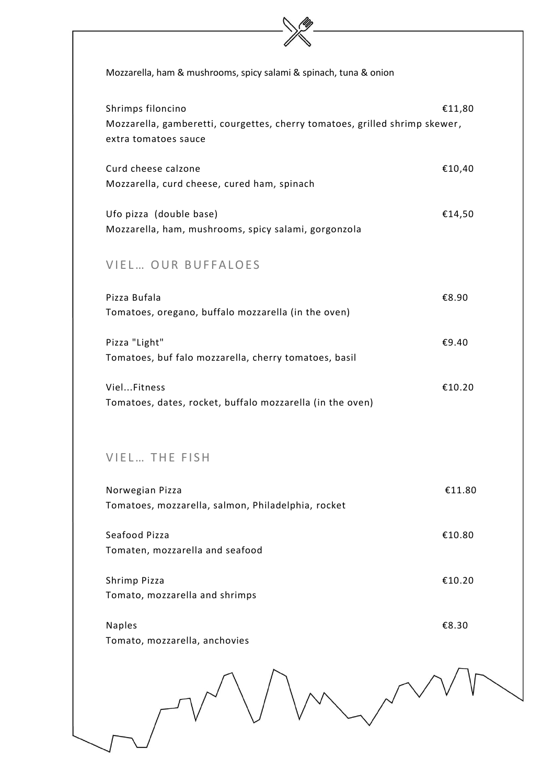| Mozzarella, ham & mushrooms, spicy salami & spinach, tuna & onion                                                        |        |  |
|--------------------------------------------------------------------------------------------------------------------------|--------|--|
| Shrimps filoncino<br>Mozzarella, gamberetti, courgettes, cherry tomatoes, grilled shrimp skewer,<br>extra tomatoes sauce | €11,80 |  |
| Curd cheese calzone<br>Mozzarella, curd cheese, cured ham, spinach                                                       | €10,40 |  |
| Ufo pizza (double base)<br>Mozzarella, ham, mushrooms, spicy salami, gorgonzola                                          | €14,50 |  |
| VIEL OUR BUFFALOES                                                                                                       |        |  |
| Pizza Bufala<br>Tomatoes, oregano, buffalo mozzarella (in the oven)                                                      | €8.90  |  |
| Pizza "Light"<br>Tomatoes, buf falo mozzarella, cherry tomatoes, basil                                                   | €9.40  |  |
| VielFitness<br>Tomatoes, dates, rocket, buffalo mozzarella (in the oven)                                                 | €10.20 |  |
| VIEL THE FISH                                                                                                            |        |  |
| Norwegian Pizza<br>Tomatoes, mozzarella, salmon, Philadelphia, rocket                                                    | €11.80 |  |
| Seafood Pizza<br>Tomaten, mozzarella and seafood                                                                         | €10.80 |  |
| Shrimp Pizza<br>Tomato, mozzarella and shrimps                                                                           | €10.20 |  |
| <b>Naples</b><br>Tomato, mozzarella, anchovies                                                                           | €8.30  |  |
|                                                                                                                          |        |  |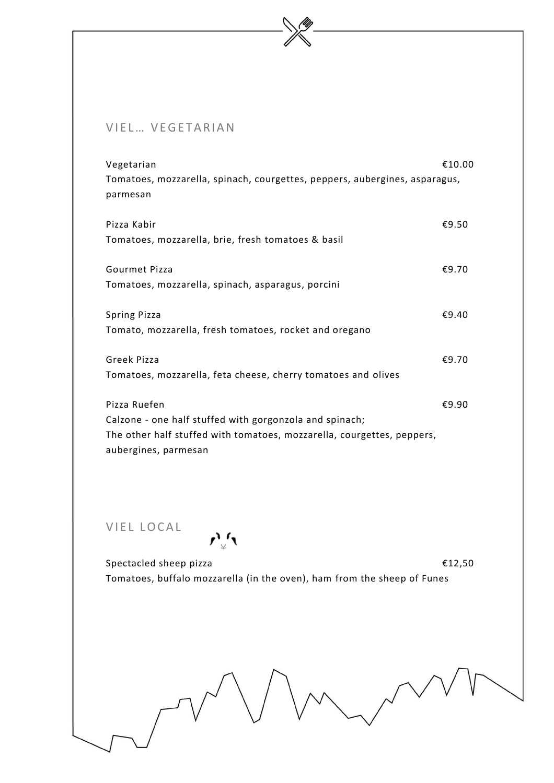#### VIEL... VEGETARIAN

| Vegetarian                                                                 | €10.00 |
|----------------------------------------------------------------------------|--------|
| Tomatoes, mozzarella, spinach, courgettes, peppers, aubergines, asparagus, |        |
| parmesan                                                                   |        |
|                                                                            |        |
| Pizza Kabir                                                                | €9.50  |
| Tomatoes, mozzarella, brie, fresh tomatoes & basil                         |        |
|                                                                            |        |
| Gourmet Pizza                                                              | €9.70  |
| Tomatoes, mozzarella, spinach, asparagus, porcini                          |        |
|                                                                            |        |
| <b>Spring Pizza</b>                                                        | €9.40  |
| Tomato, mozzarella, fresh tomatoes, rocket and oregano                     |        |
|                                                                            |        |
| Greek Pizza                                                                | €9.70  |
| Tomatoes, mozzarella, feta cheese, cherry tomatoes and olives              |        |
|                                                                            |        |
| Pizza Ruefen                                                               | €9.90  |
| Calzone - one half stuffed with gorgonzola and spinach;                    |        |
| The other half stuffed with tomatoes, mozzarella, courgettes, peppers,     |        |
| aubergines, parmesan                                                       |        |
|                                                                            |        |

VIEL LOCAL

 $\mathcal{L}_{\mathcal{A}}^{\mathcal{A}}$ 

Spectacled sheep pizza **€12**,50 Tomatoes, buffalo mozzarella (in the oven), ham from the sheep of Funes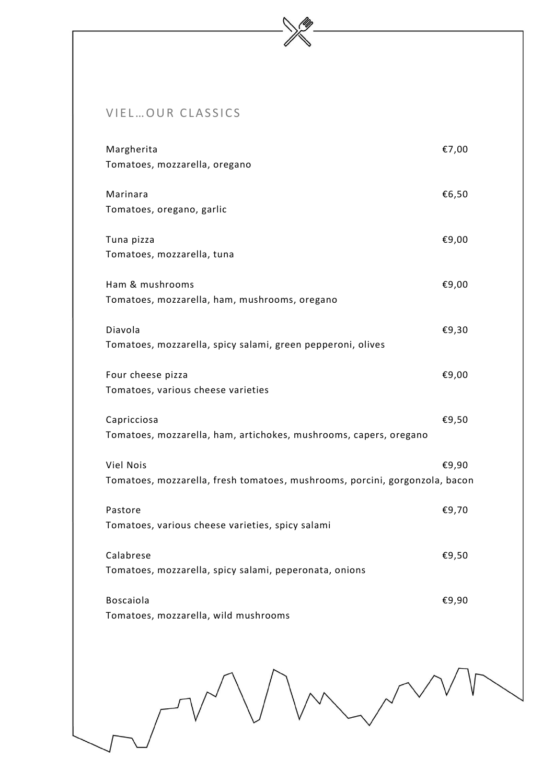#### VIEL... OUR CLASSICS

| Margherita<br>Tomatoes, mozzarella, oregano                                                     | €7,00 |
|-------------------------------------------------------------------------------------------------|-------|
| Marinara<br>Tomatoes, oregano, garlic                                                           | €6,50 |
| Tuna pizza<br>Tomatoes, mozzarella, tuna                                                        | €9,00 |
| Ham & mushrooms<br>Tomatoes, mozzarella, ham, mushrooms, oregano                                | €9,00 |
| Diavola<br>Tomatoes, mozzarella, spicy salami, green pepperoni, olives                          | €9,30 |
| Four cheese pizza<br>Tomatoes, various cheese varieties                                         | €9,00 |
| Capricciosa<br>Tomatoes, mozzarella, ham, artichokes, mushrooms, capers, oregano                | €9,50 |
| <b>Viel Nois</b><br>Tomatoes, mozzarella, fresh tomatoes, mushrooms, porcini, gorgonzola, bacon | €9,90 |
| Pastore<br>Tomatoes, various cheese varieties, spicy salami                                     | €9,70 |
| Calabrese<br>Tomatoes, mozzarella, spicy salami, peperonata, onions                             | €9,50 |
| <b>Boscaiola</b><br>Tomatoes, mozzarella, wild mushrooms                                        | €9,90 |
|                                                                                                 |       |

 $\mathcal{D}$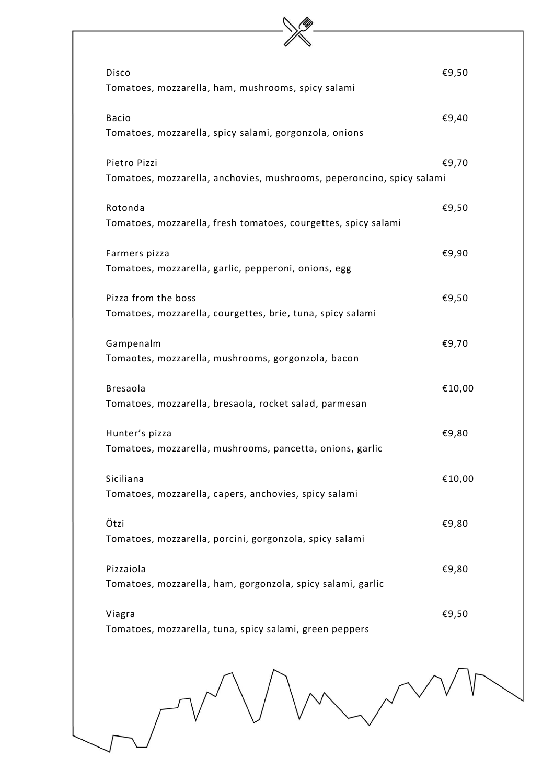|  | Disco                                                                    | €9,50  |  |
|--|--------------------------------------------------------------------------|--------|--|
|  | Tomatoes, mozzarella, ham, mushrooms, spicy salami                       |        |  |
|  | <b>Bacio</b>                                                             | €9,40  |  |
|  | Tomatoes, mozzarella, spicy salami, gorgonzola, onions                   |        |  |
|  | Pietro Pizzi                                                             | €9,70  |  |
|  | Tomatoes, mozzarella, anchovies, mushrooms, peperoncino, spicy salami    |        |  |
|  | Rotonda                                                                  | €9,50  |  |
|  | Tomatoes, mozzarella, fresh tomatoes, courgettes, spicy salami           |        |  |
|  | Farmers pizza                                                            | €9,90  |  |
|  | Tomatoes, mozzarella, garlic, pepperoni, onions, egg                     |        |  |
|  | Pizza from the boss                                                      | €9,50  |  |
|  | Tomatoes, mozzarella, courgettes, brie, tuna, spicy salami               |        |  |
|  | Gampenalm                                                                | €9,70  |  |
|  | Tomaotes, mozzarella, mushrooms, gorgonzola, bacon                       |        |  |
|  | <b>Bresaola</b>                                                          | €10,00 |  |
|  | Tomatoes, mozzarella, bresaola, rocket salad, parmesan                   |        |  |
|  | Hunter's pizza                                                           | €9,80  |  |
|  | Tomatoes, mozzarella, mushrooms, pancetta, onions, garlic                |        |  |
|  | Siciliana<br>Tomatoes, mozzarella, capers, anchovies, spicy salami       | €10,00 |  |
|  |                                                                          |        |  |
|  | Ötzi<br>Tomatoes, mozzarella, porcini, gorgonzola, spicy salami          | €9,80  |  |
|  |                                                                          |        |  |
|  | Pizzaiola<br>Tomatoes, mozzarella, ham, gorgonzola, spicy salami, garlic | €9,80  |  |
|  |                                                                          |        |  |
|  | Viagra<br>Tomatoes, mozzarella, tuna, spicy salami, green peppers        | €9,50  |  |
|  |                                                                          |        |  |
|  |                                                                          |        |  |
|  |                                                                          |        |  |
|  |                                                                          |        |  |
|  |                                                                          |        |  |